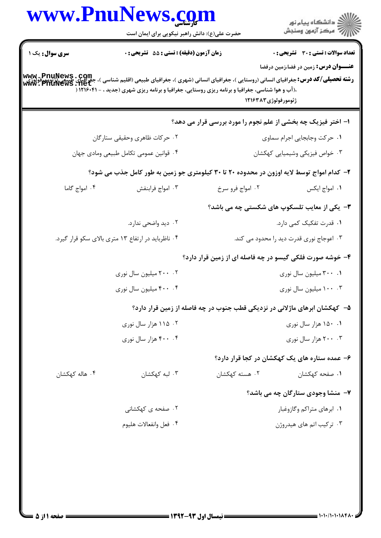|                                                    | www.PnuNews.com                                                                                                                                                                                                                                                                                                                                        |                                                                            | ر<br>دانشڪاه پيام نور)<br>ا                          |
|----------------------------------------------------|--------------------------------------------------------------------------------------------------------------------------------------------------------------------------------------------------------------------------------------------------------------------------------------------------------------------------------------------------------|----------------------------------------------------------------------------|------------------------------------------------------|
| سری سوال: یک ۱                                     | حضرت علی(ع): دانش راهبر نیکویی برای ایمان است<br>زمان آزمون (دقیقه) : تستی : 55 آتشریحی : 0                                                                                                                                                                                                                                                            |                                                                            | <b>تعداد سوالات : تستی : 30 ٪ تشریحی : 0</b>         |
|                                                    | <b>رشته تحصیلی/کد درس:</b> جغرافیای انسانی (روستایی )، جغرافیای انسانی (شهری )، جغرافیای طبیعی (اقلیم شناسی )، جغرافیای<br><b>رشته تحصیلی/کد درس:</b> جغرافیای انسانی (روستایی )، جغرافیای انسانی (شهری )، جغرافیای طبیعی (توبیت میلادی) www<br><b>،(آب و هوا شناسی، جغرافیا و برنامه ریزی روستایی، جغرافیا و برنامه ریزی شهری (جدید ، - ۱۲۱۶۰۴۱</b> ( | ژئومورفولوژي۱۲۱۶۳۸۳                                                        | <b>عنـــوان درس:</b> زمین در فضا،زمین درفضا          |
|                                                    |                                                                                                                                                                                                                                                                                                                                                        | ۱– اختر فیزیک چه بخشی از علم نجوم را مورد بررسی قرار می دهد؟               |                                                      |
| ۰۲ حرکات ظاهری وحقیقی ستارگان                      |                                                                                                                                                                                                                                                                                                                                                        | ١. حركت وجابجايي اجرام سماوي                                               |                                                      |
| ۰۴ قوانین عمومی تکامل طبیعی ومادی جهان             |                                                                                                                                                                                                                                                                                                                                                        |                                                                            | ۰۳ خواص فیزیکی وشیمیایی کهکشان                       |
|                                                    | ۲- کدام امواج توسط لایه اوزون در محدوده ۲۰ تا ۳۰ کیلومتری جو زمین به طور کامل جذب می شود؟                                                                                                                                                                                                                                                              |                                                                            |                                                      |
| ۰۴ امواج گاما                                      | ۰۳ امواج فرابنفش                                                                                                                                                                                                                                                                                                                                       | ۰۲ امواج فرو سرخ                                                           | ٠١ امواج ايكس                                        |
|                                                    |                                                                                                                                                                                                                                                                                                                                                        |                                                                            | <b>۳</b> - یکی از معایب تلسکوپ های شکستی چه می باشد؟ |
|                                                    | ۰۲ دید واضحی ندارد.                                                                                                                                                                                                                                                                                                                                    |                                                                            | ۰۱ قدرت تفکیک کمی دارد.                              |
| ۰۴ ناظرباید در ارتفاع ۱۳ متری بالای سکو قرار گیرد. |                                                                                                                                                                                                                                                                                                                                                        | ۰۳ اعوجاج نوری قدرت دید را محدود می کند.                                   |                                                      |
|                                                    |                                                                                                                                                                                                                                                                                                                                                        | ۴- خوشه صورت فلکی گیسو در چه فاصله ای از زمین قرار دارد؟                   |                                                      |
|                                                    | ۰۲ ۲۰۰ میلیون سال نوری                                                                                                                                                                                                                                                                                                                                 |                                                                            | ۰۱ ۳۰۰ میلیون سال نوری                               |
| ۴۰۰ ۰۴ میلیون سال نوری                             |                                                                                                                                                                                                                                                                                                                                                        | ۰۳ . ۱۰۰ میلیون سال نوری                                                   |                                                      |
|                                                    |                                                                                                                                                                                                                                                                                                                                                        | ۵– کهکشان ابرهای ماژلانی در نزدیکی قطب جنوب در چه فاصله از زمین قرار دارد؟ |                                                      |
|                                                    | ۰۲ ۱۱۵ هزار سال نوری                                                                                                                                                                                                                                                                                                                                   |                                                                            | ۰۱ ۱۵۰ هزار سال نوري                                 |
|                                                    | ۴۰۰ . ۴۰۰ هزار سال نوري                                                                                                                                                                                                                                                                                                                                |                                                                            | ۰۳ ۲۰۰ هزار سال نوري                                 |
|                                                    |                                                                                                                                                                                                                                                                                                                                                        |                                                                            | ۶– عمده ستاره های یک کهکشان در کجا قرار دارد؟        |
| ۰۴ هاله کهکشان                                     | ۰۳ لبه کهکشان                                                                                                                                                                                                                                                                                                                                          | ۰۲ هسته کهکشان                                                             | ۰۱ صفحه کهکشان                                       |
|                                                    |                                                                                                                                                                                                                                                                                                                                                        |                                                                            | ۷- منشا وجودی ستارگان چه می باشد؟                    |
|                                                    | ۰۲ صفحه ی کهکشانی                                                                                                                                                                                                                                                                                                                                      |                                                                            | ۰۱ ابرهای متراکم وگازوغبار                           |
|                                                    | ۰۴ فعل وانفعالات هليوم                                                                                                                                                                                                                                                                                                                                 |                                                                            | ۰۳ ترکیب اتم های هیدروژن                             |
|                                                    |                                                                                                                                                                                                                                                                                                                                                        |                                                                            |                                                      |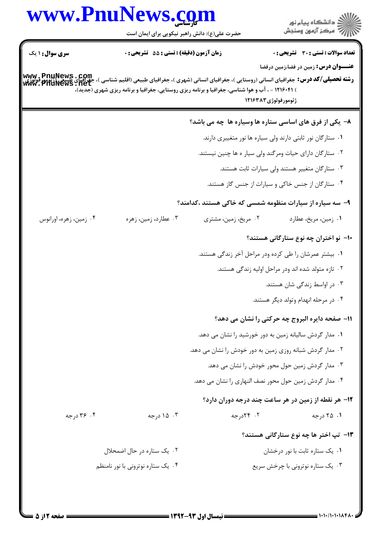|                                                                                                                                                                              | حضرت علی(ع): دانش راهبر نیکویی برای ایمان است |                                                                                                                        | ڪ دانشڪاه پيام نور<br>ر∕ آزمون وسنڊش                |
|------------------------------------------------------------------------------------------------------------------------------------------------------------------------------|-----------------------------------------------|------------------------------------------------------------------------------------------------------------------------|-----------------------------------------------------|
| <b>سری سوال : ۱ یک</b>                                                                                                                                                       | زمان آزمون (دقیقه) : تستی : 55 آتشریحی : 0    |                                                                                                                        | <b>تعداد سوالات : تستی : 30 - تشریحی : 0</b>        |
| <b>www . PnuNews . Com</b><br><b>رشته تحصیلی/کد درس:</b> جغرافیای انسانی (روستایی )، جغرافیای انسانی (شهری )، جغرافیای طبیعی (اقلیم شناسی )، جغرافیای<br>www . PnuNews . net |                                               | ) ۱۲۱۶۰۴۱ - ، آب و هوا شناسی، جغرافیا و برنامه ریزی روستایی، جغرافیا و برنامه ریزی شهری (جدید)،<br>ژئومورفولوژي۸۳*۱۲۱۶ | <b>عنـــوان درس:</b> زمین در فضا،زمین درفضا         |
|                                                                                                                                                                              |                                               | ۸– یکی از فرق های اساسی ستاره ها وسیاره ها چه می باشد؟                                                                 |                                                     |
|                                                                                                                                                                              |                                               | ۰۱ ستارگان نور ثابتی دارند ولی سیاره ها نور متغییری دارند.                                                             |                                                     |
|                                                                                                                                                                              |                                               | ۰۲ ستارگان دارای حیات ومرگند ولی سیار ه ها چنین نیستند.                                                                |                                                     |
|                                                                                                                                                                              |                                               |                                                                                                                        | ۰۳ ستارگان متغییر هستند ولی سیارات ثابت هستند.      |
|                                                                                                                                                                              |                                               |                                                                                                                        | ۰۴ ستارگان از جنس خاکی و سیارات از جنس گاز هستند.   |
|                                                                                                                                                                              |                                               | ۹– سه سیاره از سیارات منظومه شمسی که خاکی هستند ،کدامند؟                                                               |                                                     |
| ۰۴ زمین، زهره، اورانوس                                                                                                                                                       | ۰۳ عطارد، زمین، زهره                          | ۰۲ مریخ، زمین، مشتری                                                                                                   | ۰۱ زمین، مریخ، عطارد                                |
|                                                                                                                                                                              |                                               |                                                                                                                        | ۱۰– نو اختران چه نوع ستارگانی هستند؟                |
|                                                                                                                                                                              |                                               | ۰۱ بیشتر عمرشان را طی کرده ودر مراحل آخر زندگی هستند.                                                                  |                                                     |
|                                                                                                                                                                              |                                               |                                                                                                                        | ۰۲ تازه متولد شده اند ودر مراحل اولیه زندگی هستند.  |
|                                                                                                                                                                              |                                               |                                                                                                                        | ۰۳ در اواسط زندگی شان هستند.                        |
|                                                                                                                                                                              |                                               |                                                                                                                        | ۰۴ در مرحله انهدام وتولد دیگر هستند.                |
|                                                                                                                                                                              |                                               |                                                                                                                        | 11- صفحه دایره البروج چه حرکتی را نشان می دهد؟      |
|                                                                                                                                                                              |                                               | ۰۱ مدار گردش سالیانه زمین به دور خورشید را نشان می دهد.                                                                |                                                     |
|                                                                                                                                                                              |                                               | ۰۲ مدار گردش شبانه روزی زمین به دور خودش را نشان می دهد.                                                               |                                                     |
|                                                                                                                                                                              |                                               |                                                                                                                        | ۰۳ مدار گردش زمین حول محور خودش را نشان می دهد.     |
|                                                                                                                                                                              |                                               | ۰۴ مدار گردش زمین حول محور نصف النهاری را نشان می دهد.                                                                 |                                                     |
|                                                                                                                                                                              |                                               |                                                                                                                        | ۱۲– هر نقطه از زمین در هر ساعت چند درجه دوران دارد؟ |
| ۰۴ تارجه                                                                                                                                                                     | ۰۳ ۱۵ درجه                                    | ۰۲ ۲۴درجه                                                                                                              | ۰۱ ۲۵ درجه                                          |
|                                                                                                                                                                              |                                               |                                                                                                                        | ۱۳- تپ اختر ها چه نوع ستارگانی هستند؟               |
|                                                                                                                                                                              | ۰۲ یک ستاره در حال اضمحلال                    |                                                                                                                        | ٠١. يک ستاره ثابت با نور درخشان                     |
|                                                                                                                                                                              | ۰۴ یک ستاره نوترونی با نور نامنظم             |                                                                                                                        | ۰۳ یک ستاره نوترونی با چرخش سریع                    |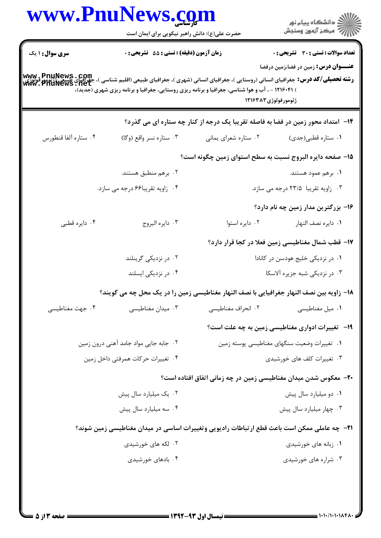|                        | www.PnuNews.com                                                                                                                                                                                                                                                           |                                                                                  | ر<br>دانشڪاه پيام نور)<br>اڳ مرڪز آزمون وسنڊش     |
|------------------------|---------------------------------------------------------------------------------------------------------------------------------------------------------------------------------------------------------------------------------------------------------------------------|----------------------------------------------------------------------------------|---------------------------------------------------|
|                        | حضرت علی(ع): دانش راهبر نیکویی برای ایمان است                                                                                                                                                                                                                             |                                                                                  |                                                   |
| <b>سری سوال : ۱ یک</b> | زمان آزمون (دقیقه) : تستی : 55 آتشریحی : 0                                                                                                                                                                                                                                |                                                                                  | <b>تعداد سوالات : تستی : 30 ٪ تشریحی : 0</b>      |
|                        | www . PnuNews . COm<br> و <b>شته تحصیلی/کد درس:</b> جغرافیای انسانی (روستایی )، جغرافیای انسانی (شهری )، جغرافیای طبیعی (قانون استقلیل )، جغراف<br> www. PnuNews . net<br>) ۱۲۱۶۰۴۱ - ، آب و هوا شناسی، جغرافیا و برنامه ریزی روستایی، جغرافیا و برنامه ریزی شهری (جدید)، | ژئومورفولوژی۸۳*۱۲۱۶                                                              | <b>عنـــوان درس:</b> زمین در فضا،زمین درفضا       |
|                        |                                                                                                                                                                                                                                                                           | ۱۴- امتداد محور زمین در فضا به فاصله تقریبا یک درجه از کنار چه ستاره ای می گذرد؟ |                                                   |
| ۰۴ ستاره ألفا قنطورس   | ۰۳ ستاره نسر واقع (وگا)                                                                                                                                                                                                                                                   | ۰۲ ستاره شعرای يمانی                                                             | ۰۱ ستاره قطبی(جدی)                                |
|                        |                                                                                                                                                                                                                                                                           | ۱۵– صفحه دایره البروج نسبت به سطح استوای زمین چگونه است؟                         |                                                   |
|                        | ۰۲ برهم منطبق هستند.                                                                                                                                                                                                                                                      |                                                                                  | ۰۱ برهم عمود هستند.                               |
|                        | ۰۴ زاویه تقریبا۶۶ درجه می سازد.                                                                                                                                                                                                                                           |                                                                                  | ۰۳ زاویه تقریبا ۲۳/۵ درجه می سازد.                |
|                        |                                                                                                                                                                                                                                                                           |                                                                                  | ۱۶– بزرگترین مدار زمین چه نام دارد؟               |
| ۰۴ دايره قطبي          | ۰۳ دايره البروج                                                                                                                                                                                                                                                           | ۰۲ دايره استوا                                                                   | ٠١. دايره نصف النهار                              |
|                        |                                                                                                                                                                                                                                                                           |                                                                                  | ۱۷– قطب شمال مغناطیسی زمین فعلا در کجا قرار دارد؟ |
|                        | ۰۲ در نزدیکی گرینلند                                                                                                                                                                                                                                                      |                                                                                  | ۰۱ در نزدیکی خلیج هودسن در کانادا                 |
|                        | ۰۴ در نزدیکی ایسلند                                                                                                                                                                                                                                                       |                                                                                  | ۰۳ در نزدیکی شبه جزیره آلاسکا                     |
|                        | 18− زاویه بین نصف النهار جغرافیایی با نصف النهار مغناطیسی زمین را در یک محل چه می گویند؟                                                                                                                                                                                  |                                                                                  |                                                   |
| ۰۴ جهت مغناطیسی        | ۰۳ میدان مغناطیسی                                                                                                                                                                                                                                                         | ۰۲ انحراف مغناطیسی                                                               | ۰۱ میل مغناطیسی                                   |
|                        |                                                                                                                                                                                                                                                                           |                                                                                  | ۱۹- تغییرات ادواری مغناطیسی زمین به چه علت است؟   |
|                        | ۰۲ جابه جایی مواد جامد آهنی درون زمین                                                                                                                                                                                                                                     | ٠١ تغييرات وضعيت سنگهاي مغناطيسي پوسته زمين                                      |                                                   |
|                        | ۰۴ تغییرات حرکات همرفتی داخل زمین                                                                                                                                                                                                                                         | ۰۳ تغییرات کلف های خورشیدی                                                       |                                                   |
|                        |                                                                                                                                                                                                                                                                           | +۲- معکوس شدن میدان مغناطیسی زمین در چه زمانی اتفاق افتاده است؟                  |                                                   |
|                        | ۰۲ يک ميليارد سال پيش                                                                                                                                                                                                                                                     |                                                                                  | ۰۱ دو میلیارد سال پیش                             |
|                        | ۰۴ سه میلیارد سال پیش                                                                                                                                                                                                                                                     |                                                                                  | ۰۳ چهار میلیارد سال پیش                           |
|                        | <b>۲۱</b> - چه عاملی ممکن است باعث قطع ارتباطات رادیویی وتغییرات اساسی در میدان مغناطیسی زمین شوند؟                                                                                                                                                                       |                                                                                  |                                                   |
|                        | ۰۲ لکه های خورشیدی                                                                                                                                                                                                                                                        |                                                                                  | ۰۱ زبانه های خورشیدی                              |
|                        | ۰۴ بادهای خورشیدی                                                                                                                                                                                                                                                         |                                                                                  | ۰۳ شراره های خورشیدی                              |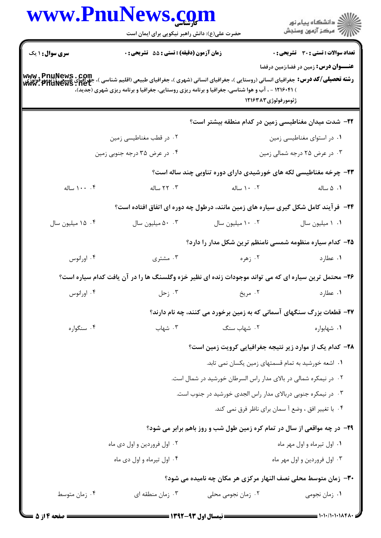| www.PnuNews.com        | حضرت علی(ع): دانش راهبر نیکویی برای ایمان است |                                                                                                                                                                                                                                                                                          | ر<br>دانشڪاه پيام نور)<br>ا∛ مرڪز آزمون وسنڊش |
|------------------------|-----------------------------------------------|------------------------------------------------------------------------------------------------------------------------------------------------------------------------------------------------------------------------------------------------------------------------------------------|-----------------------------------------------|
| <b>سری سوال : ۱ یک</b> | زمان آزمون (دقیقه) : تستی : 55 آتشریحی : 0    |                                                                                                                                                                                                                                                                                          | <b>تعداد سوالات : تستی : 30 ٪ تشریحی : 0</b>  |
|                        |                                               | www . PnuNews . Com<br>رشته تحصیلی/کد درس: جغرافیای انسانی (روستایی )، جغرافیای انسانی (شهری )، جغرافیای طبیعی (اقلیم شناسی )، جغرافیای<br>www . PnuNews . net<br>) ۱۲۱۶۰۴۱ - ، آب و هوا شناسی، جغرافیا و برنامه ریزی روستایی، جغرافیا و برنامه ریزی شهری (جدید)،<br>ژئومورفولوژی۸۳*۱۲۱۶ | <b>عنـــوان درس:</b> زمین در فضا،زمین درفضا   |
|                        |                                               | <b>۲۲</b> – شدت میدان مغناطیسی زمین در کدام منطقه بیشتر است؟                                                                                                                                                                                                                             |                                               |
|                        | ۰۲ در قطب مغناطیسی زمین                       |                                                                                                                                                                                                                                                                                          | ۰۱ در استوای مغناطیسی زمین                    |
|                        | ۰۴ در عرض ۳۵ درجه جنوبی زمین                  |                                                                                                                                                                                                                                                                                          | ۰۳ در عرض ۲۵ درجه شمالی زمین                  |
|                        |                                               | ۲۳- چرخه مغناطیسی لکه های خورشیدی دارای دوره تناوبی چند ساله است؟                                                                                                                                                                                                                        |                                               |
| ۰۰، ۱۰۰ ساله           | ۰۳ ساله                                       | ۰۲ ۱۰ ساله                                                                                                                                                                                                                                                                               | ۰۱ ۵ ساله                                     |
|                        |                                               | <b>34</b> - فرآیند کامل شکل گیری سیاره های زمین مانند، درطول چه دوره ای اتفاق افتاده است؟                                                                                                                                                                                                |                                               |
| ۰۴ میلیون سال          | ۰۰ میلیون سال                                 | ۰۰ ۱۰ میلیون سال                                                                                                                                                                                                                                                                         | ٠١ ١ ميليون سال                               |
|                        |                                               | ۲۵– کدام سیاره منظومه شمسی نامنظم ترین شکل مدار را دارد؟                                                                                                                                                                                                                                 |                                               |
| ۰۴ اورانوس             | ۰۳ مشتری                                      | ۰۲ زهره                                                                                                                                                                                                                                                                                  | ۰۱ عطارد                                      |
|                        |                                               | ۲۶- محتمل ترین سیاره ای که می تواند موجودات زنده ای نظیر خزه وگلسنگ ها را در آن یافت کدام سیاره است؟                                                                                                                                                                                     |                                               |
| ۰۴ اورانوس             |                                               | ۲. مريخ هر مستقبل است. ترجل استقبل استقبل استقبل استقبل استقبل استقبل استقبل استقبل استقبل استقبل استقبل استقب                                                                                                                                                                           | ۰۱ عطارد                                      |
|                        |                                               | ۲۷- قطعات بزرگ سنگهای آسمانی که به زمین برخورد می کنند، چه نام دارند؟                                                                                                                                                                                                                    |                                               |
| ۰۴ سنگواره             | ۰۳ شهاب                                       | ٠٢ شهاب سنگ                                                                                                                                                                                                                                                                              | ۰۱ شهابواره                                   |
|                        |                                               | ۲۸- کدام یک از موارد زیر نتیجه جغرافیایی کرویت زمین است؟                                                                                                                                                                                                                                 |                                               |
|                        |                                               | ۰۱ اشعه خورشید به تمام قسمتهای زمین یکسان نمی تابد.                                                                                                                                                                                                                                      |                                               |
|                        |                                               | ۰۲ در نیمکره شمالی در بالای مدار راس السرطان خورشید در شمال است.                                                                                                                                                                                                                         |                                               |
|                        |                                               | ۰۳ در نیمکره جنوبی دربالای مدار راس الجدی خورشید در جنوب است.                                                                                                                                                                                                                            |                                               |
|                        |                                               | ۰۴ با تغییر افق ، وضع أ سمان برای ناظر فرق نمی کند.                                                                                                                                                                                                                                      |                                               |
|                        |                                               | ۲۹- در چه مواقعی از سال در تمام کره زمین طول شب و روز باهم برابر می شود؟                                                                                                                                                                                                                 |                                               |
|                        | ۰۲ اول فروردین و اول دی ماه                   |                                                                                                                                                                                                                                                                                          | ۰۱ اول تیرماه و اول مهر ماه                   |
|                        | ۰۴ اول تیرماه و اول دی ماه                    |                                                                                                                                                                                                                                                                                          | ۰۳ اول فروردين و اول مهر ماه                  |
|                        |                                               | ۳۰- زمان متوسط محلی نصف النهار مرکزی هر مکان چه نامیده می شود؟                                                                                                                                                                                                                           |                                               |
| ۰۴ زمان متوسط          | ۰۳ زمان منطقه ای                              | ۰۲ زمان نجومی محلی                                                                                                                                                                                                                                                                       | ۰۱ زمان نجومی                                 |